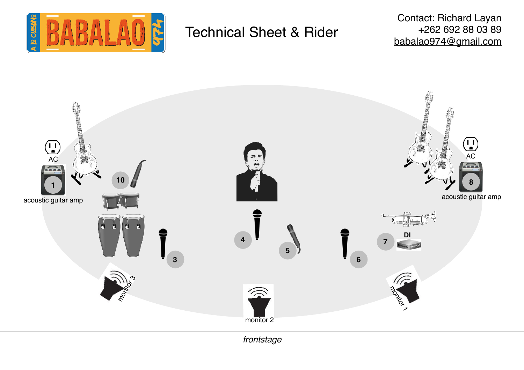

# Technical Sheet & Rider

Contact: Richard Layan +262 692 88 03 89 [babalao974@gmail.com](mailto:babalao974@gmail.com)



*frontstage*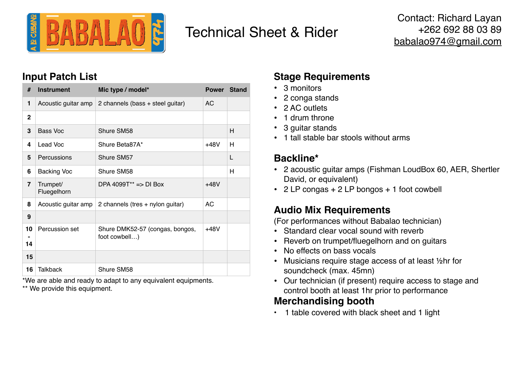

# Technical Sheet & Rider

## **Input Patch List**

| #              | <b>Instrument</b>       | Mic type / model*                                | <b>Power</b> | <b>Stand</b> |
|----------------|-------------------------|--------------------------------------------------|--------------|--------------|
| 1              | Acoustic guitar amp     | 2 channels (bass + steel guitar)                 | AC           |              |
| $\overline{2}$ |                         |                                                  |              |              |
| 3              | <b>Bass Voc</b>         | Shure SM58                                       |              | н            |
| 4              | Lead Voc                | Shure Beta87A*                                   | $+48V$       | н            |
| 5              | Percussions             | Shure SM57                                       |              | L            |
| 6              | <b>Backing Voc</b>      | Shure SM58                                       |              | н            |
| $\overline{7}$ | Trumpet/<br>Fluegelhorn | DPA 4099T <sup>**</sup> => DI Box                | $+48V$       |              |
| 8              | Acoustic guitar amp     | 2 channels (tres + nylon guitar)                 | AC.          |              |
| 9              |                         |                                                  |              |              |
| 10<br>14       | Percussion set          | Shure DMK52-57 (congas, bongos,<br>foot cowbell) | $+48V$       |              |
| 15             |                         |                                                  |              |              |
| 16             | <b>Talkback</b>         | Shure SM58                                       |              |              |

\*We are able and ready to adapt to any equivalent equipments.

\*\* We provide this equipment.

# **Stage Requirements**

- 3 monitors
- 2 conga stands
- 2 AC outlets
- 1 drum throne
- 3 guitar stands
- 1 tall stable bar stools without arms

# **Backline\***

- 2 acoustic guitar amps (Fishman LoudBox 60, AER, Shertler David, or equivalent)
- 2 LP congas + 2 LP bongos + 1 foot cowbell

# **Audio Mix Requirements**

(For performances without Babalao technician)

- Standard clear vocal sound with reverb
- Reverb on trumpet/fluegelhorn and on guitars
- No effects on bass vocals
- Musicians require stage access of at least ½hr for soundcheck (max. 45mn)
- Our technician (if present) require access to stage and control booth at least 1hr prior to performance

## **Merchandising booth**

• 1 table covered with black sheet and 1 light